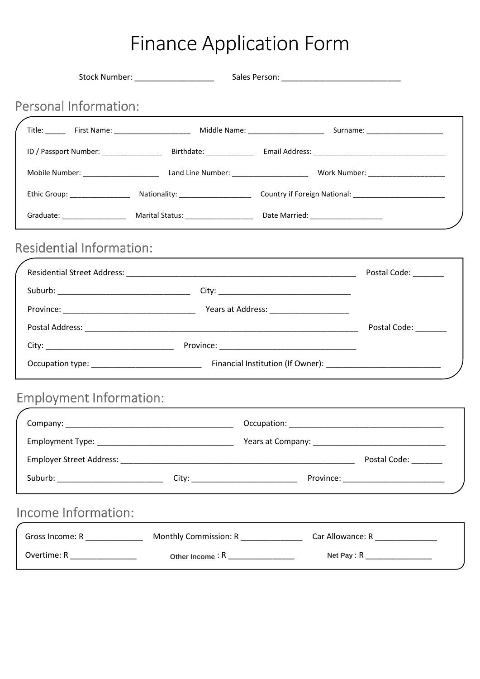## Finance Application Form

|                                 | Title: First Name: Chamber 2014 Middle Name: Chamber 2014 Middle Name: Chamber 2014 Middle Name: Chamber 2014 |                                 |
|---------------------------------|---------------------------------------------------------------------------------------------------------------|---------------------------------|
|                                 |                                                                                                               |                                 |
|                                 |                                                                                                               |                                 |
|                                 |                                                                                                               |                                 |
|                                 |                                                                                                               |                                 |
| <b>Residential Information:</b> |                                                                                                               |                                 |
|                                 |                                                                                                               |                                 |
|                                 |                                                                                                               |                                 |
|                                 |                                                                                                               |                                 |
|                                 |                                                                                                               | Postal Code: _______            |
|                                 |                                                                                                               |                                 |
|                                 |                                                                                                               |                                 |
| <b>Employment Information:</b>  |                                                                                                               |                                 |
|                                 |                                                                                                               |                                 |
|                                 |                                                                                                               |                                 |
|                                 |                                                                                                               | Postal Code: _______            |
|                                 |                                                                                                               |                                 |
| Income Information:             |                                                                                                               |                                 |
|                                 | Monthly Commission: R____________                                                                             | Car Allowance: R ______________ |
| Gross Income: R                 |                                                                                                               |                                 |